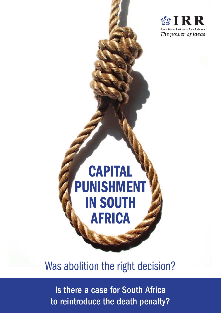

# **CAPITAL** punishment in South **AFRICA**

# Was abolition the right decision?

Is there a case for South Africa to reintroduce the death penalty?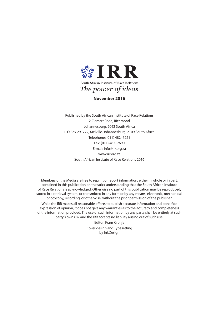

**November 2016**

Published by the South African Institute of Race Relations 2 Clamart Road, Richmond Johannesburg, 2092 South Africa P O Box 291722, Melville, Johannesburg, 2109 South Africa Telephone: (011) 482–7221 Fax: (011) 482–7690 E-mail: info@irr.org.za www.irr.org.za South African Institute of Race Relations 2016

Members of the Media are free to reprint or report information, either in whole or in part, contained in this publication on the strict understanding that the South African Institute of Race Relations is acknowledged. Otherwise no part of this publication may be reproduced, stored in a retrieval system, or transmitted in any form or by any means, electronic, mechanical, photocopy, recording, or otherwise, without the prior permission of the publisher. While the IRR makes all reasonable efforts to publish accurate information and bona fide expression of opinion, it does not give any warranties as to the accuracy and completeness of the information provided. The use of such information by any party shall be entirely at such party's own risk and the IRR accepts no liability arising out of such use.

> Editor: Frans Cronje Cover design and Typesetting by InkDesign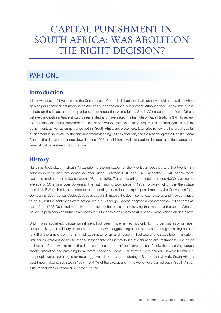# Capital punishment in South Africa: Was abolition THE RIGHT DECISION?

## PART ONE

#### **Introduction**

It is now just over 21 years since the Constitutional Court abolished the death penalty. It did so at a time when opinion polls showed that most South Africans supported capital punishment. Although there is now little public debate on the issue, some people believe such abolition was a luxury South Africa could not afford. Others believe the death sentence should be reinstated and have asked the Institute of Race Relations (IRR) to review the question of capital punishment. This paper will do that, examining arguments for and against capital punishment, as well as crime trends both in South Africa and elsewhere. It will also review the history of capital punishment in South Africa, the announcements leading up to its abolition, and the reasoning of the Constitutional Court in the decision it handed down in June 1995. In addition, it will raise various broader questions about the criminal justice system in South Africa.

#### **History**

Hangings took place in South Africa prior to the unification of the two Boer republics and the two British colonies in 1910 and they continued after Union. Between 1910 and 1975, altogether 2,740 people were executed, and another 1,100 between 1981 and 1989. This would bring the total to around 4,000, yielding an average of 50 a year over 80 years. The last hanging took place in 1989, following which the then state president, F.W. de Klerk, put a stop to them pending a decision on capital punishment by the Convention for a Democratic South Africa (Codesa). Judges could still impose the death sentence, however, and they continued to do so, but the sentences were not carried out. Although Codesa adopted a comprehensive bill of rights as part of the 1993 Constitution, it did not outlaw capital punishment, leaving that matter to the court. When it issued its prohibition on further executions in 1995, possibly as many as 400 people were waiting on death row.

Until it was abolished, capital punishment had been implemented not only for murder but also for rape, housebreaking and robbery or attempted robbery with aggravating circumstances, sabotage, training abroad to further the aims of communism, kidnapping, terrorism and treason. It had also at one stage been mandatory until courts were authorised to impose lesser sentences if they found "extenuating circumstances". One of Mr de Klerk's reforms was to make the death sentence an "option" for "extreme cases" only, thereby giving judges greater discretion and providing for automatic appeals. Some 90% of executions carried out were for murder, but people were also hanged for rape, aggravated robbery, and sabotage. Barend van Niekerk, South Africa's best-known abolitionist, said in 1967 that 47% of the executions in the world were carried out in South Africa, a figure that was questioned but never refuted.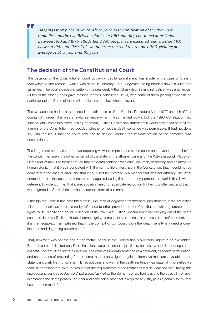Hangings took place in South Africa prior to the unification of the two Boer republics and the two British colonies in 1910 and they continued after Union. Between 1910 and 1975, altogether 2,740 people were executed, and another 1,100 between 1981 and 1989. This would bring the total to around 4,000, yielding an average of 50 a year over 80 years.

#### **The decision of the Constitutional Court**

The decision of the Constitutional Court outlawing capital punishment was made in the case of State v Makwanyane and Mchunu, which was heard in February 1995, judgement being handed down in June that same year. The court's decision, written by its president, Arthur Chaskalson (later chief justice), was unanimous. All ten of the other judges gave reasons for their concurring views, with some of them placing emphasis on particular points. Some of these will be discussed below where relevant.

The two accused had been sentenced to death in terms of the Criminal Procedure Act of 1977 on each of four counts of murder. This was a lawful sentence when it was handed down, but the 1993 Constitution had subsequently come into effect. In his judgement, Justice Chaskalson stated that it would have been better if the framers of the Constitution had decided whether or not the death sentence was permissible. It had not done so, with the result that the court now had to decide whether the implementation of the sentence was constitutional.

The judgement summarised the two opposing viewpoints presented to the court: one advanced on behalf of the condemned men, the other on behalf of the state by the attorney general of the Witwatersrand, Klaus von Lieres und Wilkau. The former argued that the death sentence was cruel, inhuman, degrading and an affront to human dignity; that it was inconsistent with the right to life entrenched in the Constitution; that it could not be corrected in the case of error; and that it could not be enforced in a manner that was not arbitrary. The latter contended that the death sentence was recognised as legitimate in many parts of the world; that it was a deterrent to violent crime; that it met society's need for adequate retribution for heinous offences; and that it was regarded in South Africa as an acceptable form of punishment.

Although the Constitution prohibited "cruel, inhuman or degrading treatment or punishment", it did not define this so the court had to. It did so by reference to other provisions of the Constitution, which guaranteed the rights to life, dignity and equal protection of the law. Said Justice Chaskalson: "The carrying out of the death sentence destroys life, it annihilates human dignity, elements of arbitrariness are present in its enforcement, and it is irremediable... I am satisfied that in the context of our Constitution the death penalty is indeed a cruel, inhuman and degrading punishment."

That, however, was not the end of the matter, because the Constitution provided for rights to be overridden. But they could be limited only if the limitations were reasonable, justifiable, necessary, and did not negate the essential content of the rights in question. The value of the death sentence as a deterrent, as a form of retribution, and as a means of preventing further crime, had to be weighed against alternative measures available to the state, particularly life imprisonment. It had not been shown that the death sentence was materially more effective than life imprisonment, with the result that the requirements of the limitations clause were not met. Taking this into account, concluded Justice Chaskalson, "as well as the elements of arbitrariness and the possibility of error in enforcing the death penalty, the clear and convincing case that is required to justify [it] as a penalty for murder has not been made".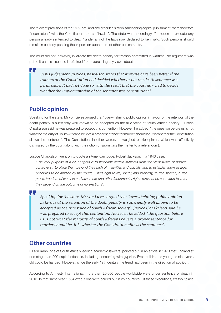The relevant provisions of the 1977 act, and any other legislation sanctioning capital punishment, were therefore "inconsistent" with the Constitution and so "invalid". The state was accordingly "forbidden to execute any person already sentenced to death" under any of the laws now declared to be invalid. Such persons should remain in custody pending the imposition upon them of other punishments.

The court did not, however, invalidate the death penalty for treason committed in wartime. No argument was put to it on this issue, so it refrained from expressing any views about it.

In his judgement, Justice Chaskalson stated that it would have been better if the framers of the Constitution had decided whether or not the death sentence was permissible. It had not done so, with the result that the court now had to decide whether the implementation of the sentence was constitutional.

#### **Public opinion**

H.

Π.

Speaking for the state, Mr von Lieres argued that "overwhelming public opinion in favour of the retention of the death penalty is sufficiently well known to be accepted as the true voice of South African society". Justice Chaskalson said he was prepared to accept this contention. However, he added, "the question before us is not what the majority of South Africans believe a proper sentence for murder should be. It is whether the Constitution allows the sentence". The Constitution, in other words, outweighed public opinion, which was effectively dismissed by the court (along with the notion of submitting the matter to a referendum).

Justice Chaskalson went on to quote an American judge, Robert Jackson, in a 1943 case:

*"The very purpose of a bill of rights is to withdraw certain subjects from the vicissitudes of political controversy, to place them beyond the reach of majorities and officials, and to establish them as legal principles to be applied by the courts. One's right to life, liberty, and property, to free speech, a free press, freedom of worship and assembly, and other fundamental rights may not be submitted to vote; they depend on the outcome of no elections".* 

Speaking for the state, Mr von Lieres argued that "overwhelming public opinion in favour of the retention of the death penalty is sufficiently well known to be accepted as the true voice of South African society". Justice Chaskalson said he was prepared to accept this contention. However, he added, "the question before us is not what the majority of South Africans believe a proper sentence for murder should be. It is whether the Constitution allows the sentence".

#### **Other countries**

Ellison Kahn, one of South Africa's leading academic lawyers, pointed out in an article in 1970 that England at one stage had 200 capital offences, including consorting with gypsies. Even children as young as nine years old could be hanged. However, since the early 19th century the trend had been in the direction of abolition.

According to Amnesty International, more than 20,000 people worldwide were under sentence of death in 2015. In that same year 1,634 executions were carried out in 25 countries. Of these executions, 28 took place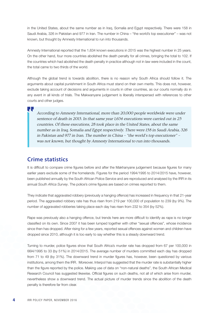in the United States, about the same number as in Iraq, Somalia and Egypt respectively. There were 158 in Saudi Arabia, 326 in Pakistan and 977 in Iran. The number in China – "the world's top executioner" – was not known, but thought by Amnesty International to run into thousands.

Amnesty International reported that the 1,634 known executions in 2015 was the highest number in 25 years. On the other hand, four more countries abolished the death penalty for all crimes, bringing the total to 102. If the countries which had abolished the death penalty in practice although not in law were included in the count, the total came to two thirds of the world.

Although the global trend is towards abolition, there is no reason why South Africa should follow it. The arguments about capital punishment in South Africa must stand on their own merits. This does not, however, exclude taking account of decisions and arguments in courts in other countries, as our courts normally do in any event in all kinds of trials. The Makwanyane judgement is liberally interspersed with references to other courts and other judges.

According to Amnesty International, more than 20,000 people worldwide were under sentence of death in 2015. In that same year 1,634 executions were carried out in 25 countries. Of these executions, 28 took place in the United States, about the same number as in Iraq, Somalia and Egypt respectively. There were 158 in Saudi Arabia, 326 in Pakistan and 977 in Iran. The number in China – "the world's top executioner" – was not known, but thought by Amnesty International to run into thousands.

#### **Crime statistics**

и,

It is difficult to compare crime figures before and after the Makhanyane judgement because figures for many earlier years exclude some of the homelands. Figures for the period 1994/1995 to 2014/2015 have, however, been published annually by the South African Police Service and are reproduced and analysed by the IRR in its annual *South Africa Survey*. The police's crime figures are based on crimes reported to them.

They indicate that aggravated robbery (previously a hanging offence) has increased in frequency in that 21-year period. The aggravated robbery rate has thus risen from 219 per 100,000 of population to 239 (by 9%). The number of aggravated robberies taking place each day has risen from 232 to 354 (by 52%).

Rape was previously also a hanging offence, but trends here are more difficult to identify as rape is no longer classified on its own. Since 2007 it has been lumped together with other "sexual offences", whose incidence since then has dropped. After rising for a few years, reported sexual offences against women and children have dropped since 2010, although it is too early to say whether this is a steady downward trend.

Turning to murder, police figures show that South Africa's murder rate has dropped from 67 per 100,000 in l994/1995 to 33 (by 51%) in 2014/2015. The average number of murders committed each day has dropped from 71 to 49 (by 31%). The downward trend in murder figures has, however, been questioned by various institutions, among them the IRR. Moreover, Interpol has suggested that the murder rate is substantially higher than the figure reported by the police. Making use of data on "non-natural deaths", the South African Medical Research Council has suggested likewise. Official figures on such deaths, not all of which arise from murder, nevertheless show a downward trend. The actual picture of murder trends since the abolition of the death penalty is therefore far from clear.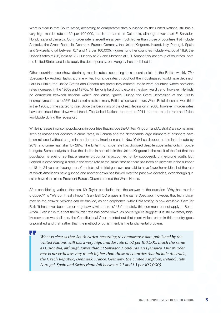What is clear is that South Africa, according to comparative data published by the United Nations, still has a very high murder rate of 32 per 100,000, much the same as Colombia, although lower than El Salvador, Honduras, and Jamaica. Our murder rate is nevertheless very much higher than those of countries that include Australia, the Czech Republic, Denmark, France, Germany, the United Kingdom, Ireland, Italy, Portugal, Spain and Switzerland (all between 0.7 and 1.3 per 100,000). Figures for other countries include Mexico at 18.9, the United States at 3.8, India at 3.3, Hungary at 2.7 and Morocco at 1.3. Among this last group of countries, both the United States and India apply the death penalty, but Hungary has abolished it.

Other countries also show declining murder rates, according to a recent article in the British weekly *The Spectator* by Andrew Taylor, a crime writer. Homicide rates throughout the industrialised world have declined. Falls in Britain, the United States and Canada are particularly marked: these were countries where homicide rates increased in the 1960s and 1970s. Mr Taylor is hard put to explain the downward trend, however. He finds no correlation between national wealth and crime figures. During the Great Depression of the 1930s unemployment rose to 25%, but the crime rate in many British cities went down. When Britain became wealthier in the 1960s, crime started to rise. Since the beginning of the Great Recession in 2008, however, murder rates have continued their downward trend. The United Nations reported in 2011 that the murder rate had fallen worldwide during the recession.

While increases in prison populations (in countries that include the United Kingdom and Australia) are sometimes seen as reasons for declines in crime rates, in Canada and the Netherlands large numbers of prisoners have been released without surges in murder rates. Imprisonment in New York has dropped in the last decade by 26%, and crime has fallen by 28%. The British homicide rate has dropped despite substantial cuts in police budgets. Some analysts believe the decline in homicide in the United Kingdom is the result of the fact that the population is ageing, so that a smaller proportion is accounted for by supposedly crime-prone youth. But London is experiencing a drop in the crime rate at the same time as there has been an increase in the number of 18- to 24-year-old young men. Countries with strict gun laws are said to have fewer homicides, but the rate at which Americans have gunned one another down has halved over the past two decades, even though gun sales have risen since President Barack Obama entered the White House.

After considering various theories, Mr Taylor concludes that the answer to the question "Why has murder dropped?" is "We don't really know". Gary Bell QC argues in the same *Spectator*, however, that technology may be the answer: vehicles can be tracked, as can cellphones, while DNA testing is now available. Says Mr Bell: "It has never been harder to get away with murder." Unfortunately, this comment cannot apply to South Africa. Even if it is true that the murder rate has come down, as police figures suggest, it is still extremely high. Moreover, as we shall see, the Constitutional Court pointed out that most violent crime in this country goes unpunished and that, rather than the method of punishment, is the fundamental problem.

What is clear is that South Africa, according to comparative data published by the United Nations, still has a very high murder rate of 32 per 100,000, much the same as Colombia, although lower than El Salvador, Honduras, and Jamaica. Our murder rate is nevertheless very much higher than those of countries that include Australia, the Czech Republic, Denmark, France, Germany, the United Kingdom, Ireland, Italy, Portugal, Spain and Switzerland (all between 0.7 and 1.3 per 100,000).

П,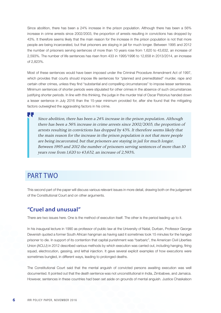Since abolition, there has been a 24% increase in the prison population. Although there has been a 56% increase in crime arrests since 2002/2003, the proportion of arrests resulting in convictions has dropped by 43%. It therefore seems likely that the main reason for the increase in the prison population is not that more people are being incarcerated, but that prisoners are staying in jail for much longer. Between 1995 and 2012 the number of prisoners serving sentences of more than 10 years rose from 1,620 to 43,632, an increase of 2,593%. The number of life sentences has risen from 433 in 1995/1996 to 12,658 in 2013/2014, an increase of 2,823%.

Most of these sentences would have been imposed under the Criminal Procedure Amendment Act of 1997, which provides that courts should impose life sentences for "planned and premeditated" murder, rape and certain other crimes, unless they find "substantial and compelling circumstances" to impose lesser sentences. Minimum sentences of shorter periods were stipulated for other crimes in the absence of such circumstances justifying shorter periods. In line with this thinking, the judge in the murder trial of Oscar Pistorius handed down a lesser sentence in July 2016 than the 15-year minimum provided for, after she found that the mitigating factors outweighed the aggravating factors in his crime.

Since abolition, there has been a 24% increase in the prison population. Although there has been a 56% increase in crime arrests since 2002/2003, the proportion of arrests resulting in convictions has dropped by 43%. It therefore seems likely that the main reason for the increase in the prison population is not that more people are being incarcerated, but that prisoners are staying in jail for much longer. Between 1995 and 2012 the number of prisoners serving sentences of more than 10 years rose from 1,620 to 43,632, an increase of 2,593%.

## PART TWO

This second part of the paper will discuss various relevant issues in more detail, drawing both on the judgement of the Constitutional Court and on other arguments.

#### **"Cruel and unusual"**

There are two issues here. One is the method of execution itself. The other is the period leading up to it.

In his inaugural lecture in 1990 as professor of public law at the University of Natal, Durban, Professor George Devenish quoted a former South African hangman as having said it sometimes took 15 minutes for the hanged prisoner to die. In support of its contention that capital punishment was "barbaric", the American Civil Liberties Union (ACLU) in 2012 described various methods by which execution was carried out, including hanging, firing squad, electrocution, gassing, and lethal injection. It gave several explicit examples of how executions were sometimes bungled, in different ways, leading to prolonged deaths.

The Constitutional Court said that the mental anguish of convicted persons awaiting execution was well documented. It pointed out that the death sentence was not unconstitutional in India, Zimbabwe, and Jamaica. However, sentences in these countries had been set aside on grounds of mental anguish. Justice Chaskalson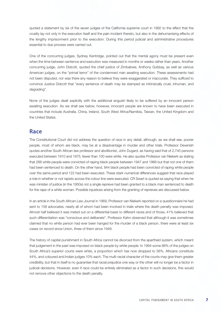quoted a statement by six of the seven judges of the California supreme court in 1992 to the effect that the cruelty lay not only in the execution itself and the pain incident thereto, but also in the dehumanising effects of the lengthy imprisonment prior to the execution. During this period judicial and administrative procedures essential to due process were carried out.

One of the concurring judges, Sydney Kentridge, pointed out that the mental agony must be present even when the time between sentence and execution was measured in months or weeks rather than years. Another concurring judge, John Didcott, quoted the chief justice of Zimbabwe, Anthony Gubbay, as well as various American judges, on the "primal terror" of the condemned man awaiting execution. These assessments had not been disputed, nor was there any reason to believe they were exaggerated or inaccurate. They sufficed to convince Justice Didcott that "every sentence of death may be stamped as intrinsically cruel, inhuman, and degrading".

None of the judges dealt explicitly with the additional anguish likely to be suffered by an innocent person awaiting execution. As we shall see below, however, innocent people are known to have been executed in countries that include Australia, China, Ireland, South West Africa/Namibia, Taiwan, the United Kingdom and the United States.

#### **Race**

The Constitutional Court did not address the question of race in any detail, although, as we shall see, poorer people, most of whom are black, may be at a disadvantage in murder and other trials. Professor Devenish quotes another South African law professor and abolitionist, John Dugard, as having said that of 2,740 persons executed between 1910 and 1975, fewer than 100 were white. He also quotes Professor van Niekerk as stating that 288 white people were convicted of raping black people between 1947 and 1966 but that not one of them had been sentenced to death. On the other hand, 844 black people had been convicted of raping white people over the same period and 122 had been executed. These stark numerical differences suggest that race played a role in whether or not rapists across the colour line were executed. CR Swart is quoted as saying that when he was minister of justice (in the 1950s) not a single reprieve had been granted to a black man sentenced to death for the rape of a white woman. Possible injustices arising from the granting of reprieves are discussed below.

In an article in the *South African Law Journal* in 1969, Professor van Niekerk reported on a questionnaire he had sent to 158 advocates, nearly all of whom had been involved in trials where the death penalty was imposed. Almost half believed it was meted out on a differential basis to different races and of those, 41% believed that such differentiation was "conscious and deliberate". Professor Kahn observed that although it was sometimes claimed that no white person had ever been hanged for the murder of a black person, there were at least six cases on record since Union, three of them since 1949.

The history of capital punishment in South Africa cannot be divorced from the apartheid system, which meant that judgement in the past was imposed on black people by white people. In 1994 some 98% of the judges on South Africa's superior courts were white, a proportion which has now dropped to 36%. Africans constitute 44%, and coloured and Indian judges 10% each. The multi-racial character of the courts may give them greater credibility, but that in itself is no guarantee that racial prejudice one way or the other will no longer be a factor in judicial decisions. However, even if race could be entirely eliminated as a factor in such decisions, this would not remove other objections to the death penalty.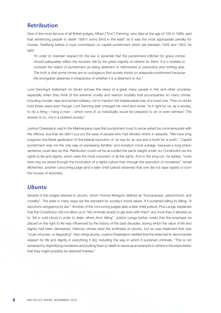#### **Retribution**

One of the most famous of all British judges, Alfred ("Tom") Denning, who died at the age of 100 in 1999, said that sentencing people to death "didn't worry [him] in the least" as it was the most appropriate penalty for murder. Testifying before a royal commission on capital punishment which sat between 1949 and 1953, he said:

*"In order to maintain respect for the law is essential that the punishment inflicted for grave crimes should adequately reflect the revulsion felt by the great majority of citizens for them. It is a mistake to consider the object of punishment as being deterrent or reformative or preventive and nothing else. The truth is that some crimes are so outrageous that society insists on adequate punishment because the wrongdoer deserves it irrespective of whether it is a deterrent or not."* 

Lord Denning's statement no doubt echoes the views of a great many people in this and other countries, especially when they think of the extreme cruelty and wanton brutality that accompanies so many crimes, including murder, rape and armed robbery, not to mention the irreplaceable loss of a loved one. They no doubt hold these views even though Lord Denning later changed his mind and wrote: "Is it right for us, as a society, to do a thing – hang a man – which none of us individually would be prepared to do or even witness? The answer is no, not in a civilised society."

Justice Chaskalson said in the Makhanyane case that punishment must to some extent be commensurate with the offence, but that we didn't put out the eyes of people who had blinded others in assaults. "We have long outgrown the literal application of the biblical injunction of 'an eye for an eye and a tooth for a tooth'." Capital punishment was not the only way of expressing families' and society's moral outrage, because a long prison sentence could also do this. Retribution could not be accorded the same weight under our Constitution as the rights to life and dignity, which were the most important of all the rights. And in the long run, he added, "more lives may be saved through the inculcation of a rights culture than through the execution of murderers". Ismail Mohamed, another concurring judge (and a later chief justice) observed that one did not rape rapists or burn the houses of arsonists.

#### *Ubuntu*

Several of the judges referred to *ubuntu*, which Yvonne Mokgoro defined as "humaneness, personhood, and morality". The state in many ways set the standard for society's moral values. If it punished killing by killing, "it sanctions vengeance by law". Another of the concurring judges (also a later chief justice), Pius Langa, explained that the Constitution did not allow us to "kill criminals simply to get even with them" any more than it allowed us to "kill in cold blood in order to deter others from killing". Justice Langa further noted that the emphasis he placed on the right to life was influenced by the history of the past decades, during which the value of life and dignity had been demeaned. Heinous crimes were the antithesis of *ubuntu*, but so was treatment that was "cruel, inhuman, or degrading". Also citing *ubuntu*, Justice Chaskalson clarified that the state had to demonstrate respect for life and dignity in everything it did, including the way in which it punished criminals. "This is not achieved by objectifying murderers and putting them to death to serve as an example to others in the expectation that they might possibly be deterred thereby."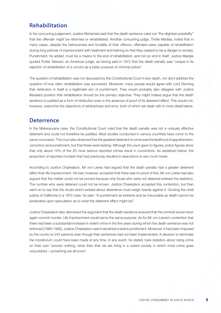#### **Rehabilitation**

In his concurring judgement, Justice Mohamed said that the death sentence ruled out "the slightest possibility" that the offender might be reformed or rehabilitated. Another concurring judge, Tholie Madala, noted that in many cases, despite the heinousness and brutality of their offence, offenders were capable of rehabilitation during long periods of imprisonment with treatment and training so that they ceased to be a danger to society. Punishment, he added, must be a means to the end of rehabilitation, and not an end in itself. Justice Madala quoted Potter Stewart, an American judge, as having said in 1972 that the death penalty was "unique in its rejection of rehabilitation of a convict as a basic purpose of criminal justice".

The question of rehabilitation was not discussed by the Constitutional Court in any depth, nor did it address the question of how often rehabilitation was successful. Moreover, many people would agree with Lord Denning that retribution in itself is a legitimate aim of punishment. They would probably also disagree with Justice Madala's position that rehabilitation should be the primary objective. They might indeed argue that the death sentence is justified as a form of retribution even in the absence of proof of its deterrent effect. This would not, however, overcome the objections of arbitrariness and error, both of which are dealt with in more detail below.

#### **Deterrence**

In the Makwanyane case, the Constitutional Court ruled that the death penalty was not a uniquely effective deterrent and could not therefore be justified. Most studies conducted in various countries have come to the same conclusion. The court also observed that the greatest deterrent to crime was the likelihood of apprehension, conviction and punishment, but that these were lacking. Although the court gave no figures, police figures show that only about 14% of the 20 most serious reported crimes result in convictions. As explained below, the proportion of reported murders that had previously resulted in executions is very much lower.

According to Justice Chaskalson, Mr von Lieres had argued that the death penalty had a greater deterrent effect than life imprisonment. He had, however, accepted that there was no proof of this. Mr von Lieres had also argued that the matter could not be proved because only those who were not deterred entered the statistics. The number who were deterred could not be known. Justice Chaskalson accepted this contention, but then went on to say that the doubt which existed about deterrence must weigh heavily against it. Quoting the chief justice of California in a 1972 case, he said: "A punishment as extreme and as irrevocable as death cannot be predicated upon speculation as to what the deterrent effect might be".

Justice Chaskalson also dismissed the argument that the death sentence ensured that the criminal would never again commit murder. Life imprisonment would serve the same purpose. As for Mr von Lieres's contention that there had been a substantial increase in violent crime in the five years during which the death sentence was not enforced [1989-1995], Justice Chaskalson said it remained a lawful punishment. Moreover, it had been imposed by the courts on 243 persons even though their sentences had not been implemented. A decision to terminate the moratorium could have been made at any time. In any event, he stated, bare statistics about rising crime on their own "proved nothing, other than that we are living in a violent society in which most crime goes unpunished – something we all know".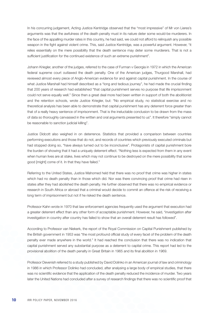In his concurring judgement, Acting Justice Kentridge observed that the "most impressive" of Mr von Lieres's arguments was that the awfulness of the death penalty must in its nature deter some would-be murderers. In the face of the appalling murder rates in this country, he had said, we could not afford to relinguish any possible weapon in the fight against violent crime. This, said Justice Kentridge, was a powerful argument. However, "it relies essentially on the mere possibility that the death sentence may deter some murderers. That is not a sufficient justification for the continued existence of such an extreme punishment".

Johann Kriegler, another of the judges, referred to the case of Furman v Georgia in 1972 in which the American federal supreme court outlawed the death penalty. One of the American judges, Thurgood Marshall, had reviewed almost every piece of Anglo-American evidence for and against capital punishment. In the course of what Justice Marshall had himself described as a "long and tedious journey", he had made the crucial finding that 200 years of research had established "that capital punishment serves no purpose that life imprisonment could not serve equally well." Since then a great deal more had been written in support of both the abolitionist and the retention schools, wrote Justice Kriegler, but: "No empirical study, no statistical exercise and no theoretical analysis has been able to demonstrate that capital punishment has any deterrent force greater than that of a really heavy sentence of imprisonment. That is the ineluctable conclusion to be drawn from the mass of data so thoroughly canvassed in the written and oral arguments presented to us". It therefore "simply cannot be reasonable to sanction judicial killing".

Justice Didcott also weighed in on deterrence. Statistics that provided a comparison between countries performing executions and those that do not, and records of countries which previously executed criminals but had stopped doing so, "have always turned out to be inconclusive". Protagonists of capital punishment bore the burden of showing that it had a uniquely deterrent effect. "Nothing less is expected from them in any event when human lives are at stake, lives which may not continue to be destroyed on the mere possibility that some good [might] come of it. In that they have failed."

Referring to the United States, Justice Mahomed held that there was no proof that crime was higher in states which had no death penalty than in those which did. Nor was there convincing proof that crime had risen in states after they had abolished the death penalty. He further observed that there was no empirical evidence or research in South Africa or abroad that a criminal would decide to commit an offence at the risk of receiving a long term of imprisonment but not if he risked the death sentence.

Professor Kahn wrote in 1970 that law enforcement agencies frequently used the argument that execution had a greater deterrent effect than any other form of acceptable punishment. However, he said, "investigation after investigation in country after country has failed to show that an overall deterrent result has followed".

According to Professor van Niekerk, the report of the Royal Commission on Capital Punishment published by the British government in 1953 was "the most profound official study of every facet of the problem of the death penalty ever made anywhere in the world." It had reached the conclusion that there was no indication that capital punishment served any substantial purpose as a deterrent to capital crime. This report had led to the provisional abolition of the death penalty in Great Britain in 1965 and its final abolition in 1969.

Professor Devenish referred to a study published by David Dolinko in an American journal of law and criminology in 1986 in which Professor Dolinko had concluded, after analysing a large body of empirical studies, that there was no scientific evidence that the application of the death penalty reduced the incidence of murder. Two years later the United Nations had concluded after a survey of research findings that there was no scientific proof that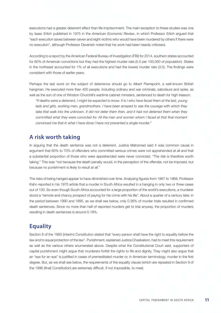executions had a greater deterrent effect than life imprisonment. The main exception to these studies was one by Isaac Erlich published in 1975 in the *American Economic Review*, in which Professor Erlich argued that "each execution saves between seven and eight victims who would have been murdered by others if there were no execution", although Professor Devenish noted that his work had been heavily criticised.

According to a report by the American Federal Bureau of Investigation (FBI) for 2014, southern states accounted for 80% of American convictions but they had the highest murder rate (5.5 per 100,000 of population). States in the northeast accounted for 1% of all executions and had the lowest murder rate (3.3). The findings were consistent with those of earlier years.

Perhaps the last word on the subject of deterrence should go to Albert Pierrepoint, a well-known British hangman. He executed more than 400 people, including ordinary and war criminals, saboteurs and spies, as well as the son of one of Winston Churchill's wartime cabinet ministers, sentenced to death for high treason:

*"If deaths were a deterrent, I might be expected to know. It is I who have faced them at the last, young*  lads and girls, working men, grandmothers. I have been amazed to see the courage with which they take that walk into the unknown. It did not deter them then, and it had not deterred them when they *committed what they were convicted for. All the men and women whom I faced at that final moment convinced me that in what I have done I have not prevented a single murder."* 

#### **A risk worth taking**

In arguing that the death sentence was not a deterrent, Justice Mahomed said it was common cause in argument that 60% to 70% of offenders who committed serious crimes were not apprehended at all and that a substantial proportion of those who were apprehended were never convicted. "The risk is therefore worth taking." This was "not because the death penalty would, in the perception of the offender, not be imposed, but because no punishment is likely to result at all."

The risks of being hanged appear to have diminished over time. Analysing figures from 1967 to 1968, Professor Kahn reported in his 1970 article that a murder in South Africa resulted in a hanging in only two or three cases out of 100. So even though South Africa accounted for a large proportion of the world's executions, a murderer stood a "remote and chancy prospect of paying for his crime with his life". About a quarter of a century later, in the period between 1990 and 1995, as we shall see below, only 0.36% of murder trials resulted in confirmed death sentences. Since no more than half of reported murders get to trial anyway, the proportion of murders resulting in death sentences is around 0.18%.

#### **Equality**

Section 8 of the 1993 (interim) Constitution stated that "every person shall have the right to equality before the law and to equal protection of the law". Punishment, explained Justice Chaskalson, had to meet this requirement as well as the various others enumerated above. Despite what the Constitutional Court said, supporters of capital punishment might argue that murderers forfeit the rights to life and dignity. They might also argue that an "eye for an eye" is justified in cases of premeditated murder or, in American terminology, murder in the first degree. But, as we shall see below, the requirements of the equality clause (which are repeated in Section 9 of the 1996 (final) Constitution) are extremely difficult, if not impossible, to meet.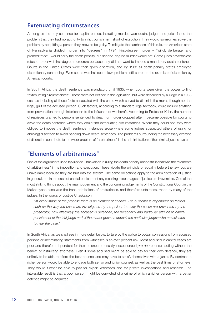#### **Extenuating circumstances**

As long as the only sentence for capital crimes, including murder, was death, judges and juries faced the problem that they had no authority to inflict punishment short of execution. They would sometimes solve the problem by acquitting a person they knew to be guilty. To mitigate the harshness of this rule, the American state of Pennsylvania divided murder into "degrees" in 1794. First-degree murder – "wilful, deliberate, and premeditated"- would carry the death penalty, but second-degree murder would not. Some juries nevertheless refused to convict first-degree murderers because they did not want to impose a mandatory death sentence. Courts in the United States were then given discretion, and by 1963 all death-penalty states employed discretionary sentencing. Even so, as we shall see below, problems still surround the exercise of discretion by American courts.

In South Africa, the death sentence was mandatory until 1935, when courts were given the power to find "extenuating circumstances". These were not defined in the legislation, but were described by a judge in a 1938 case as including all those facts associated with the crime which served to diminish the moral, though not the legal, guilt of the accused person. Such factors, according to a standard legal textbook, could include anything from provocation through intoxication to the influence of witchcraft. According to Professor Kahn, the number of reprieves granted to persons sentenced to death for murder dropped after it became possible for courts to avoid the death sentence where they could find extenuating circumstances. Where they could not, they were obliged to impose the death sentence. Instances arose where some judges suspected others of using (or abusing) discretion to avoid handing down death sentences. The problems surrounding the necessary exercise of discretion contribute to the wider problem of "arbitrariness" in the administration of the criminal justice system.

#### **"Elements of arbitrariness"**

One of the arguments used by Justice Chaskalson in ruling the death penalty unconstitutional was the "elements of arbitrariness" in its imposition and execution. These violate the principle of equality before the law, but are unavoidable because they are built into the system. The same objections apply to the administration of justice in general, but in the case of capital punishment any resulting miscarriages of justice are irreversible. One of the most striking things about the main judgement and the concurring judgements of the Constitutional Court in the Makhanyane case was the frank admissions of arbitrariness, and therefore unfairness, made by many of the judges. In the words of Justice Chaskalson,

*"At every stage of the process there is an element of chance. The outcome is dependent on factors such as the way the cases are investigated by the police, the way the cases are presented by the prosecutor, how effectively the accused is defended, the personality and particular attitude to capital punishment of the trial judge and, if the matter goes on appeal, the particular judges who are selected to hear the case."* 

In South Africa, as we shall see in more detail below, torture by the police to obtain confessions from accused persons or incriminating statements from witnesses is an ever-present risk. Most accused in capital cases are poor and therefore dependent for their defence on usually inexperienced *pro deo* counsel, acting without the benefit of instructing attorneys. Even if some accused might be able to pay for their own defence, they are unlikely to be able to afford the best counsel and may have to satisfy themselves with a junior. By contrast, a richer person would be able to engage both senior and junior counsel, as well as the best firms of attorneys. They would further be able to pay for expert witnesses and for private investigations and research. The intolerable result is that a poor person might be convicted of a crime of which a richer person with a better defence might be acquitted.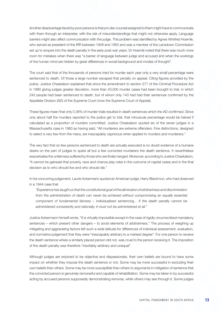Another disadvantage faced by poor persons is that *pro deo* counsel assigned to them might have to communicate with them through an interpreter, with the risk of misunderstandings that might not otherwise apply. Language barriers might also affect communication with the judge. This problem was identified by Agnes Winifred Hoernlé, who served as president of the IRR between 1948 and 1950 and was a member of the Lansdown Commission set up to enquire into the death penalty in the early post-war years. Dr Hoernlé noted that there was much more room for mistakes when there was "a barrier of language between judge and accused and when the workings of the human mind are hidden by great differences in social background and modes of thought".

The court said that of the thousands of persons tried for murder each year only a very small percentage were sentenced to death. Of those a large number escaped that penalty on appeal. Citing figures provided by the police, Justice Chaskalson explained that since the amendment to section 277 of the Criminal Procedure Act in 1990 giving judges greater discretion, more than 40,000 murder cases had been brought to trial, in which 243 people had been sentenced to death, but of whom only 143 had had their sentences confirmed by the Appellate Division (AD) of the Supreme Court (now the Supreme Court of Appeal).

These figures mean that only 0.36% of murder trials resulted in death sentences which the AD confirmed. Since only about half the murders reported to the police get to trial, that minuscule percentage would be halved if calculated as a proportion of murders committed. Justice Chaskalson quoted six of the seven judges in a Massachusetts case in 1980 as having said, "All murderers are extreme offenders. Fine distinctions, designed to select a very few from the many, are inescapably capricious when applied to murders and murderers."

The very fact that so few persons sentenced to death are actually executed is no doubt evidence of a humane desire on the part of judges to spare all but a few convicted murderers the death sentence. It nevertheless exacerbates the unfairness suffered by those who are finally hanged. Moreover, according to Justice Chaskalson, "It cannot be gainsaid that poverty, race and chance play roles in the outcome of capital cases and in the final decision as to who should live and who should die."

In his concurring judgement, Laurie Ackermann quoted an American judge, Harry Blackmun, who had observed in a 1944 case that

*"Experience has taught us that the constitutional goal of the elimination of arbitrariness and discrimination from the administration of death can never be achieved without compromising an equally essential component of fundamental fairness – individualised sentencing... If the death penalty cannot be administered consistently and rationally, it must not be administered at all."* 

Justice Ackermann himself wrote, "It is virtually impossible except in the case of rigidly circumscribed mandatory sentences – which present other dangers – to avoid elements of arbitrariness." The process of weighing up mitigating and aggravating factors left such a wide latitude for differences of individual assessment, evaluation, and normative judgement that they were "inescapably arbitrary to a marked degree". For one person to receive the death sentence where a similarly placed person did not, was cruel to the person receiving it. The imposition of the death penalty was therefore "inevitably arbitrary and unequal".

Although judges are enjoined to be objective and dispassionate, their own beliefs are bound to have some impact on whether they impose the death sentence or not. Some may be more successful in excluding their own beliefs than others. Some may be more susceptible than others to arguments in mitigation of sentence that the convicted person is genuinely remorseful and capable of rehabilitation. Some may be taken in by successful acting by accused persons supposedly demonstrating remorse, while others may see through it. Some judges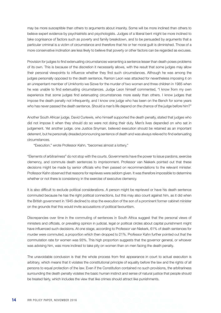may be more susceptible than others to arguments about insanity. Some will be more inclined than others to believe expert evidence by psychiatrists and psychologists. Judges of a liberal bent might be more inclined to take cognisance of factors such as poverty and family breakdown, and to be persuaded by arguments that a particular criminal is a victim of circumstance and therefore that his or her moral guilt is diminished. Those of a more conservative inclination are less likely to believe that poverty or other factors can be regarded as excuses.

Provision for judges to find extenuating circumstances warranting a sentence lesser than death poses problems of its own. This is because of the discretion it necessarily allows, with the result that some judges may allow their personal viewpoints to influence whether they find such circumstances. Although he was among the judges personally opposed to the death sentence, Ramon Leon was attacked for nevertheless imposing it on an unrepentant member of Umkhonto we Sizwe for the murder of two women and three children in 1985 when he was unable to find extenuating circumstances. Judge Leon himself commented, "I know from my own experience that some judges find extenuating circumstances more easily than others. I know judges that impose the death penalty not infrequently, and I know one judge who has been on the Bench for some years who has never passed the death sentence. Should a man's life depend on the chance of the judge before him?"

Another South African judge, David Curlewis, who himself supported the death penalty, stated that judges who did not impose it when they should do so were not doing their duty. Men's lives depended on who sat in judgement. Yet another judge, one Justice Snyman, believed execution should be retained as an important deterrent, but he personally dreaded pronouncing sentence of death and was always relieved to find extenuating circumstances.

"Execution," wrote Professor Kahn, "becomes almost a lottery."

"Elements of arbitrariness" do not stop with the courts. Governments have the power to issue pardons, exercise clemency, and commute death sentences to imprisonment. Professor van Niekerk pointed out that these decisions might be made by senior officials who then passed on recommendations to the relevant minister. Professor Kahn observed that reasons for reprieves were seldom given. It was therefore impossible to determine whether or not there is consistency in the exercise of executive clemency.

It is also difficult to exclude political considerations. A person might be reprieved or have his death sentence commuted because he has the right political connections, but this may also count against him, as it did when the British government in 1945 declined to stop the execution of the son of a prominent former cabinet minister on the grounds that this would invite accusations of political favouritism.

Discrepancies over time in the commuting of sentences in South Africa suggest that the personal views of ministers and officials, or prevailing opinion in judicial, legal or political circles about capital punishment might have influenced such decisions. At one stage, according to Professor van Niekerk, 61% of death sentences for murder were commuted, a proportion which then dropped to 21%. Professor Kahn further pointed out that the commutation rate for women was 93%. This high proportion suggests that the governor general, or whoever was advising him, was more inclined to take pity on women than on men facing the death penalty.

The unavoidable conclusion is that the whole process from first appearance in court to actual execution is arbitrary, which means that it violates the constitutional principle of equality before the law and the rights of all persons to equal protection of the law. Even if the Constitution contained no such provisions, the arbitrariness surrounding the death penalty violates the basic human instinct and sense of natural justice that people should be treated fairly, which includes the view that like crimes should attract like punishments.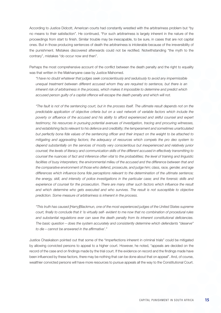According to Justice Didcott, American courts had constantly wrestled with the arbitrariness problem but "by no means to their satisfaction". He continued, "For such arbitrariness is largely inherent in the nature of the proceedings from start to finish. Similar trouble may be inescapable, to be sure, in cases that are not capital ones. But in those producing sentences of death the arbitrariness is intolerable because of the irreversibility of the punishment. Mistakes discovered afterwards could not be rectified. Notwithstanding "the myth to the contrary", mistakes "do occur now and then".

Perhaps the most comprehensive account of the conflict between the death penalty and the right to equality was that written in the Makhanyane case by Justice Mahomed.

*"I have no doubt whatever that judges seek conscientiously and sedulously to avoid any impermissible unequal treatment between different accused whom they are required to sentence, but there is an inherent risk of arbitrariness in the process, which makes it impossible to determine and predict which accused person guilty of a capital offence will escape the death penalty and which will not.*

*"The fault is not of the sentencing court, but in the process itself. The ultimate result depends not on the predictable application of objective criteria but on a vast network of variable factors which include the poverty or affluence of the accused and his ability to afford experienced and skilful counsel and expert testimony; his resources in pursuing potential avenues of investigation, tracing and procuring witnesses, and establishing facts relevant to his defence and credibility; the temperament and sometimes unarticulated but perfectly bona fide values of the sentencing officer and their impact on the weight to be attached to mitigating and aggravating factors; the adequacy of resources which compels the pro deo system to depend substantially on the services of mostly very conscientious but inexperienced and relatively junior counsel; the levels of literacy and communication skills of the different accused in effectively transmitting to counsel the nuances of fact and inference often vital to the probabilities; the level of training and linguistic*  facilities of busy interpreters; the environmental milieu of the accused and the difference between that and *the comparative environment of those who defend, prosecute, and judge him; class, race, gender, and age differences which influence bona fide perceptions relevant to the determination of the ultimate sentence;*  the energy, skill, and intensity of police investigations in the particular case; and the forensic skills and experience of counsel for the prosecution. There are many other such factors which influence the result *and which determine who gets executed and who survives. The result is not susceptible to objective prediction. Some measure of arbitrariness is inherent in the process.*

*"This truth has caused [Harry]Blackmun, one of the most experienced judges of the United States supreme court, finally to conclude that it 'is virtually self- evident to me now that no combination of procedural rules and substantial regulations ever can save the death penalty from its inherent constitutional deficiencies. The basic question – does the system accurately and consistently determine which defendants "deserve" to die – cannot be answered in the affirmative'."*

Justice Chaskalson pointed out that some of the "imperfections inherent in criminal trials" could be mitigated by allowing convicted persons to appeal to a higher court. However, he noted, "appeals are decided on the record of the case and on findings made by the trial court. If the evidence on record and the findings made have been influenced by these factors, there may be nothing that can be done about that on appeal". And, of course, wealthier convicted persons will have more resources to pursue appeals all the way to the Constitutional Court.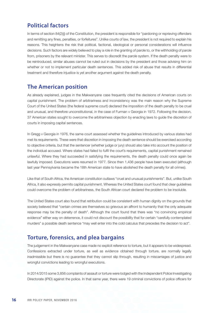#### **Political factors**

In terms of section 84(2)(j) of the Constitution, the president is responsible for "pardoning or reprieving offenders and remitting any fines, penalties, or forfeitures". Unlike courts of law, the president is not required to explain his reasons. This heightens the risk that political, factional, ideological or personal considerations will influence decisions. Such factors are widely believed to play a role in the granting of parole to, or the withholding of parole from, prisoners by the relevant minister. This serves to discredit the parole system. If the death penalty were to be reintroduced, similar abuses cannot be ruled out in decisions by the president and those advising him on whether or not to implement particular death sentences. This added risk of abuse that results in differential treatment and therefore injustice is yet another argument against the death penalty.

#### **The American position**

As already explained, judges in the Makwanyane case frequently cited the decisions of American courts on capital punishment. The problem of arbitrariness and inconsistency was the main reason why the Supreme Court of the United States (the federal supreme court) declared the imposition of the death penalty to be cruel and unusual, and therefore unconstitutional, in the case of Furman v Georgia in 1972. Following the decision, 37 American states sought to overcome the arbitrariness objection by enacting laws to guide the discretion of courts in imposing capital sentences.

In Gregg v Georgia in 1976, the same court assessed whether the guidelines introduced by various states had met its requirements. These were that discretion in imposing the death sentence should be exercised according to objective criteria, but that the sentencer (whether judge or jury) should also take into account the position of the individual accused. Where states had failed to fulfil the court's requirements, capital punishment remained unlawful. Where they had succeeded in satisfying the requirements, the death penalty could once again be lawfully imposed. Executions were resumed in 1977. Since then 1,436 people have been executed (although last year Pennsylvania became the 18th American state to have abolished the death penalty for all crimes).

Like that of South Africa, the American constitution outlaws "cruel and unusual punishments". But, unlike South Africa, it also expressly permits capital punishment. Whereas the United States court found that clear guidelines could overcome the problem of arbitrariness, the South African court declared the problem to be insoluble.

The United States court also found that retribution could be consistent with human dignity on the grounds that society believed that "certain crimes are themselves so grievous an affront to humanity that the only adequate response may be the penalty of death". Although the court found that there was "no convincing empirical evidence" either way on deterrence, it could not discount the possibility that for certain "carefully contemplated murders" a possible death sentence "may well enter into the cold calculus that precedes the decision to act".

#### **Torture, forensics, and plea bargains**

The judgement in the Makwanyane case made no explicit reference to torture, but it appears to be widespread. Confessions extracted under torture, as well as evidence obtained through torture, are normally legally inadmissible but there is no guarantee that they cannot slip through, resulting in miscarriages of justice and wrongful convictions leading to wrongful executions.

In 2014/2015 some 3,856 complaints of assault or torture were lodged with the Independent Police Investigating Directorate (IPID) against the police. In that same year, there were 19 criminal convictions of police officers for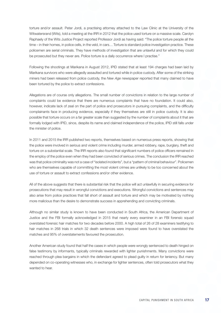torture and/or assault. Peter Jordi, a practising attorney attached to the Law Clinic at the University of the Witwatersrand (Wits), told a meeting at the IRR in 2012 that the police used torture on a massive scale. Carolyn Raphaely of the Wits Justice Project reported Professor Jordi as having said: "The police torture people all the time – in their homes, in police cells, in the veld, in cars… Torture is standard police investigation practice. These policemen are serial criminals. They have methods of investigation that are unlawful and for which they could be prosecuted but they never are. Police torture is a daily occurrence where I practise."

Following the shootings at Marikana in August 2012, IPID stated that at least 194 charges had been laid by Marikana survivors who were allegedly assaulted and tortured while in police custody. After some of the striking miners had been released from police custody, the *New Age* newspaper reported that many claimed to have been tortured by the police to extract confessions.

Allegations are of course only allegations. The small number of convictions in relation to the large number of complaints could be evidence that there are numerous complaints that have no foundation. It could also, however, indicate lack of zeal on the part of police and prosecutors in pursuing complaints, and the difficulty complainants face in producing evidence, especially if they themselves are still in police custody. It is also possible that torture occurs on a far greater scale than suggested by the number of complaints about it that are formally lodged with IPID, since, despite its name and claimed independence of the police, IPID still falls under the minister of police.

In 2011 and 2015 the IRR published two reports, themselves based on numerous press reports, showing that the police were involved in serious and violent crime including murder, armed robbery, rape, burglary, theft and torture on a substantial scale. The IRR reports also found that significant numbers of police officers remained in the employ of the police even when they had been convicted of serious crimes. The conclusion the IRR reached was that police criminality was not a case of "isolated incidents", but a "pattern of criminal behaviour". Policemen who are themselves capable of committing the most violent crimes are unlikely to be too concerned about the use of torture or assault to extract confessions and/or other evidence.

All of the above suggests that there is substantial risk that the police will act unlawfully in securing evidence for prosecutions that may result in wrongful convictions and executions. Wrongful convictions and sentences may also arise from police practices that fall short of assault and torture and which may be motivated by nothing more malicious than the desire to demonstrate success in apprehending and convicting criminals.

Although no similar study is known to have been conducted in South Africa, the American Department of Justice and the FBI formally acknowledged in 2015 that nearly every examiner in an FBI forensic squad overstated forensic hair matches for two decades before 2000. A high total of 26 of 28 examiners testifying to hair matches in 268 trials in which 32 death sentences were imposed were found to have overstated the matches and 95% of overstatements favoured the prosecution.

Another American study found that half the cases in which people were wrongly sentenced to death hinged on false testimony by informants, typically criminals rewarded with lighter punishments. Many convictions were reached through plea bargains in which the defendant agreed to plead guilty in return for leniency. But many depended on co-operating witnesses who, in exchange for lighter sentences, often told prosecutors what they wanted to hear.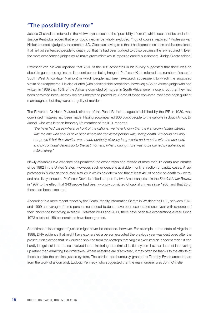### **"The possibility of error"**

Justice Chaskalson referred in the Makwanyane case to the "possibility of error", which could not be excluded. Justice Kentridge added that error could neither be wholly excluded, "nor, of course, repaired." Professor van Niekerk quoted a judge by the name of J.D. Cloete as having said that it had sometimes been on his conscience that he had sentenced people to death, but that he had been obliged to do so because the law required it. Even the most experienced judges could make grave mistakes in imposing capital punishment, Judge Cloete added.

Professor van Niekerk reported that 78% of the 158 advocates in his survey suggested that there was no absolute guarantee against an innocent person being hanged. Professor Kahn referred to a number of cases in South West Africa (later Namibia) in which people had been executed, subsequent to which the supposed victim had reappeared. He also quoted (with considerable scepticism, however) a South African judge who had written in 1939 that 10% of the Africans convicted of murder in South Africa were innocent, but that they had been convicted because they did not understand procedure. Some of those convicted may have been guilty of manslaughter, but they were not guilty of murder.

The Reverend Dr Henri P. Junod, director of the Penal Reform League established by the IRR in 1939, was convinced mistakes had been made. Having accompanied 800 black people to the gallows in South Africa, Dr Junod, who was later an honorary life member of the IRR, reported:

*"We have had cases where, in front of the gallows, we have known that the first crown [state] witness was the one who should have been where the convicted person was, facing death. We could naturally not prove it but the situation was made perfectly clear by long weeks and months with the accused, and by continual denials up to the last moment, when nothing more was to be gained by adhering to a false story."* 

Newly available DNA evidence has permitted the exoneration and release of more than 17 death-row inmates since 1992 in the United States. However, such evidence is available in only a fraction of capital cases. A law professor in Michigan conducted a study in which he determined that at least 4% of people on death row were, and are, likely innocent. Professor Devenish cited a report by two American jurists in the *Stanford Law Review* in 1987 to the effect that 343 people had been wrongly convicted of capital crimes since 1900, and that 25 of these had been executed.

According to a more recent report by the Death Penalty Information Centre in Washington D.C., between 1973 and 1999 an average of three persons sentenced to death have been exonerated each year with evidence of their innocence becoming available. Between 2000 and 2011, there have been five exonerations a year. Since 1973 a total of 156 exonerations have been granted.

Sometimes miscarriages of justice might never be exposed, however. For example, in the state of Virginia in 1988, DNA evidence that might have exonerated a person executed the previous year was destroyed after the prosecution claimed that "it would be shouted from the rooftops that Virginia executed an innocent man." It can hardly be gainsaid that those involved in administering the criminal justice system have an interest in covering up rather than admitting their mistakes. Where mistakes are discovered, it may often be thanks to the efforts of those outside the criminal justice system. The pardon posthumously granted to Timothy Evans arose in part from the work of a journalist, Ludovic Kennedy, who suggested that the real murderer was John Christie.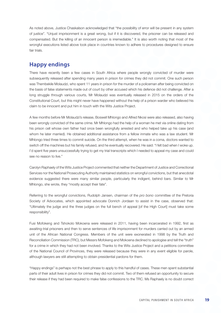As noted above, Justice Chaskalson acknowledged that "the possibility of error will be present in any system of justice". "Unjust imprisonment is a great wrong, but if it is discovered, the prisoner can be released and compensated. But the killing of an innocent person is irremediable." It is also worth noting that most of the wrongful executions listed above took place in countries known to adhere to procedures designed to ensure fair trials.

#### **Happy endings**

There have recently been a few cases in South Africa where people wrongly convicted of murder were subsequently released after spending many years in prison for crimes they did not commit. One such person was Thembekile Molaudzi, who spent 11 years in prison for the murder of a policeman after being convicted on the basis of false statements made out of court by other accused which his defence did not challenge. After a long struggle through various courts, Mr Molaudzi was eventually released in 2015 on the orders of the Constitutional Court, but this might never have happened without the help of a prison warder who believed his claim to be innocent and put him in touch with the Wits Justice Project.

A few months before Mr Molaudzi's release, Boswell Mhlongo and Alfred Nkosi were also released, also having been wrongly convicted of the same crime. Mr Mhlongo had the help of a woman he met via online dating from his prison cell whose own father had once been wrongfully arrested and who helped take up his case (and whom he later married). He obtained additional assistance from a fellow inmate who was a law student. Mr Mhlongo tried three times to commit suicide. On the third attempt, when he was in a coma, doctors wanted to switch off the machines but his family refused, and he eventually recovered. He said: "I felt bad when I woke up. I'd spent five years unsuccessfully trying to get my trial transcripts which I needed to appeal my case and could see no reason to live."

Carolyn Raphaely of the Wits Justice Project commented that neither the Department of Justice and Correctional Services nor the National Prosecuting Authority maintained statistics on wrongful convictions, but that anecdotal evidence suggested there were many similar people, particularly the indigent, behind bars. Similar to Mr Mhlongo, she wrote, they "mostly accept their fate".

Referring to the wrongful convictions, Rudolph Jansen, chairman of the *pro bono* committee of the Pretoria Society of Advocates, which appointed advocate Donrich Jordaan to assist in the case, observed that: "Ultimately the judge and the three judges on the full bench of appeal [of the High Court] must take some responsibility".

Fusi Mofokeng and Tshokolo Mokoena were released in 2011, having been incarcerated in 1992, first as awaiting-trial prisoners and then to serve sentences of life imprisonment for murders carried out by an armed unit of the African National Congress. Members of the unit were exonerated in 1998 by the Truth and Reconciliation Commission (TRC), but Messrs Mofokeng and Mokoena declined to apologise and tell the "truth" for a crime in which they had not been involved. Thanks to the Wits Justice Project and a petitions committee of the National Council of Provinces, they were released because they were in any event eligible for parole, although lawyers are still attempting to obtain presidential pardons for them.

"Happy endings" is perhaps not the best phrase to apply to this handful of cases. These men spent substantial parts of their adult lives in prison for crimes they did not commit. Two of them refused an opportunity to secure their release if they had been required to make false confessions to the TRC. Ms Raphaely is no doubt correct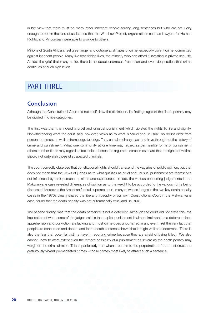in her view that there must be many other innocent people serving long sentences but who are not lucky enough to obtain the kind of assistance that the Wits Law Project, organisations such as Lawyers for Human Rights, and Mr Jordaan were able to provide to others.

Millions of South Africans feel great anger and outrage at all types of crime, especially violent crime, committed against innocent people. Many live fear-ridden lives, the minority who can afford it investing in private security. Amidst the grief that many suffer, there is no doubt enormous frustration and even desperation that crime continues at such high levels.

# PART THREE

#### **Conclusion**

Although the Constitutional Court did not itself draw the distinction, its findings against the death penalty may be divided into five categories.

The first was that it is indeed a cruel and unusual punishment which violates the rights to life and dignity. Notwithstanding what the court said, however, views as to what is "cruel and unusual" no doubt differ from person to person, as well as from judge to judge. They can also change, as they have throughout the history of crime and punishment. What one community at one time may regard as permissible forms of punishment, others at other times may regard as too lenient: hence the argument sometimes heard that the rights of victims should not outweigh those of suspected criminals.

The court correctly observed that constitutional rights should transcend the vagaries of public opinion, but that does not mean that the views of judges as to what qualifies as cruel and unusual punishment are themselves not influenced by their personal opinions and experiences. In fact, the various concurring judgements in the Makwanyane case revealed differences of opinion as to the weight to be accorded to the various rights being discussed. Moreover, the American federal supreme court, many of whose judges in the two key death penalty cases in the 1970s clearly shared the liberal philosophy of our own Constitutional Court in the Makwanyane case, found that the death penalty was not automatically cruel and unusual.

The second finding was that the death sentence is not a deterrent. Although the court did not state this, the implication of what some of the judges said is that capital punishment is almost irrelevant as a deterrent since apprehension and conviction are lacking and most crime goes unpunished in any event. Yet the very fact that people are concerned and debate and fear a death sentence shows that it might well be a deterrent. There is also the fear that potential victims have in reporting crime because they are afraid of being killed. We also cannot know to what extent even the remote possibility of a punishment as severe as the death penalty may weigh on the criminal mind. This is particularly true when it comes to the perpetration of the most cruel and gratuitously violent premeditated crimes – those crimes most likely to attract such a sentence.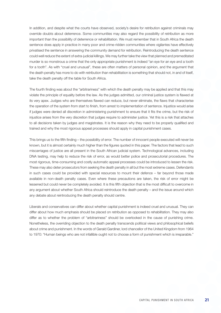In addition, and despite what the courts have observed, society's desire for retribution against criminals may override doubts about deterrence. Some communities may also regard the possibility of retribution as more important than the possibility of deterrence or rehabilitation. We must remember that in South Africa the death sentence does apply in practice in many poor and crime-ridden communities where vigilantes have effectively privatised the sentence in answering the community demand for retribution. Reintroducing the death sentence could well reduce the extent of extra-judicial killings. We may further take the view that planned and premeditated murder is so monstrous a crime that the only appropriate punishment is indeed "an eye for an eye and a tooth for a tooth". As with "cruel and unusual", these are often matters of personal opinion, and the argument that the death penalty has more to do with retribution than rehabilitation is something that should not, in and of itself, take the death penalty off the table for South Africa.

The fourth finding was about the "arbitrariness" with which the death penalty may be applied and that this may violate the principle of equality before the law. As the judges admitted, our criminal justice system is flawed at its very apex. Judges who are themselves flawed can reduce, but never eliminate, the flaws that characterise the operation of the system from start to finish, from arrest to implementation of sentence. Injustice would arise if judges were denied all discretion in administering punishment to ensure that it fits the crime, but the risk of injustice arises from the very discretion that judges require to administer justice. Yet this is a risk that attaches to all decisions taken by judges and magistrates. It is the reason why they need to be properly qualified and trained and why the most rigorous appeal processes should apply in capital punishment cases.

This brings us to the fifth finding – the possibility of error. The number of innocent people executed will never be known, but it is almost certainly much higher than the figures quoted in this paper. The factors that lead to such miscarriages of justice are all present in the South African judicial system. Technological advances, including DNA testing, may help to reduce the risk of error, as would better police and prosecutorial procedures. The most rigorous, time-consuming and costly automatic appeal processes could be introduced to lessen the risk. These may also deter prosecutors from seeking the death penalty in all but the most extreme cases. Defendants in such cases could be provided with special resources to mount their defence – far beyond those made available in non-death penalty cases. Even where these precautions are taken, the risk of error might be lessened but could never be completely avoided. It is this fifth objection that is the most difficult to overcome in any argument about whether South Africa should reintroduce the death penalty – and the issue around which any debate about reintroducing the death penalty should centre.

Liberals and conservatives can differ about whether capital punishment is indeed cruel and unusual. They can differ about how much emphasis should be placed on retribution as opposed to rehabilitation. They may also differ as to whether the problem of "arbitrariness" should be overlooked in the cause of punishing crime. Nonetheless, the overriding objection to the death penalty transcends political views and philosophical beliefs about crime and punishment. In the words of Gerald Gardiner, lord chancellor of the United Kingdom from 1964 to 1970: "Human beings who are not infallible ought not to choose a form of punishment which is irreparable."